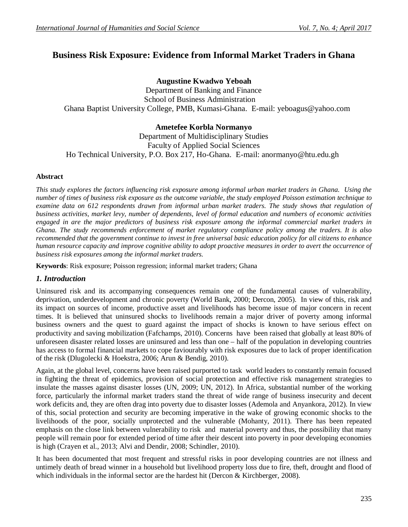# **Business Risk Exposure: Evidence from Informal Market Traders in Ghana**

## **Augustine Kwadwo Yeboah**

Department of Banking and Finance School of Business Administration Ghana Baptist University College, PMB, Kumasi-Ghana. E-mail: yeboagus@yahoo.com

## **Ametefee Korbla Normanyo**

Department of Multidisciplinary Studies Faculty of Applied Social Sciences Ho Technical University, P.O. Box 217, Ho-Ghana. E-mail: anormanyo@htu.edu.gh

#### **Abstract**

*This study explores the factors influencing risk exposure among informal urban market traders in Ghana. Using the number of times of business risk exposure as the outcome variable, the study employed Poisson estimation technique to examine data on 612 respondents drawn from informal urban market traders. The study shows that regulation of business activities, market levy, number of dependents, level of formal education and numbers of economic activities engaged in are the major predictors of business risk exposure among the informal commercial market traders in Ghana. The study recommends enforcement of market regulatory compliance policy among the traders. It is also recommended that the government continue to invest in free universal basic education policy for all citizens to enhance human resource capacity and improve cognitive ability to adopt proactive measures in order to avert the occurrence of business risk exposures among the informal market traders.*

**Keywords**: Risk exposure; Poisson regression; informal market traders; Ghana

## *1. Introduction*

Uninsured risk and its accompanying consequences remain one of the fundamental causes of vulnerability, deprivation, underdevelopment and chronic poverty (World Bank, 2000; Dercon, 2005). In view of this, risk and its impact on sources of income, productive asset and livelihoods has become issue of major concern in recent times. It is believed that uninsured shocks to livelihoods remain a major driver of poverty among informal business owners and the quest to guard against the impact of shocks is known to have serious effect on productivity and saving mobilization (Fafchamps, 2010). Concerns have been raised that globally at least 80% of unforeseen disaster related losses are uninsured and less than one – half of the population in developing countries has access to formal financial markets to cope faviourably with risk exposures due to lack of proper identification of the risk (Dlugolecki & Hoekstra, 2006; Arun & Bendig, 2010).

Again, at the global level, concerns have been raised purported to task world leaders to constantly remain focused in fighting the threat of epidemics, provision of social protection and effective risk management strategies to insulate the masses against disaster losses (UN, 2009; UN, 2012). In Africa, substantial number of the working force, particularly the informal market traders stand the threat of wide range of business insecurity and decent work deficits and, they are often drag into poverty due to disaster losses (Ademola and Anyankora, 2012). In view of this, social protection and security are becoming imperative in the wake of growing economic shocks to the livelihoods of the poor, socially unprotected and the vulnerable (Mohanty, 2011). There has been repeated emphasis on the close link between vulnerability to risk and material poverty and thus, the possibility that many people will remain poor for extended period of time after their descent into poverty in poor developing economies is high (Crayen et al., 2013; Alvi and Dendir, 2008; Schindler, 2010).

It has been documented that most frequent and stressful risks in poor developing countries are not illness and untimely death of bread winner in a household but livelihood property loss due to fire, theft, drought and flood of which individuals in the informal sector are the hardest hit (Dercon & Kirchberger, 2008).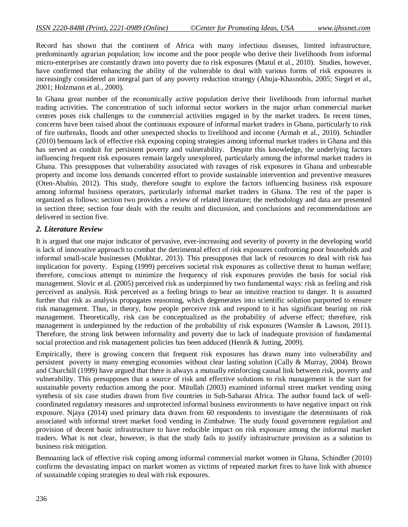Record has shown that the continent of Africa with many infectious diseases, limited infrastructure, predominantly agrarian population; low income and the poor people who derive their livelihoods from informal micro-enterprises are constantly drawn into poverty due to risk exposures (Matul et al., 2010). Studies, however, have confirmed that enhancing the ability of the vulnerable to deal with various forms of risk exposures is increasingly considered an integral part of any poverty reduction strategy (Ahuja-Khasnobis, 2005; Siegel et al., 2001; Holzmann et al., 2000).

In Ghana great number of the economically active population derive their livelihoods from informal market trading activities. The concentration of such informal sector workers in the major urban commercial market centres poses risk challenges to the commercial activities engaged in by the market traders. In recent times, concerns have been raised about the continuous exposure of informal market traders in Ghana, particularly to risk of fire outbreaks, floods and other unexpected shocks to livelihood and income (Armah et al., 2010). Schindler (2010) bemoans lack of effective risk exposing coping strategies among informal market traders in Ghana and this has served as conduit for persistent poverty and vulnerability. Despite this knowledge, the underlying factors influencing frequent risk exposures remain largely unexplored, particularly among the informal market traders in Ghana. This presupposes that vulnerability associated with ravages of risk exposures in Ghana and unbearable property and income loss demands concerted effort to provide sustainable intervention and preventive measures (Oten-Ababio, 2012). This study, therefore sought to explore the factors influencing business risk exposure among informal business operators, particularly informal market traders in Ghana. The rest of the paper is organized as follows: section two provides a review of related literature; the methodology and data are presented in section three; section four deals with the results and discussion, and conclusions and recommendations are delivered in section five.

## *2. Literature Review*

It is argued that one major indicator of pervasive, ever-increasing and severity of poverty in the developing world is lack of innovative approach to combat the detrimental effect of risk exposures confronting poor households and informal small-scale businesses (Mukhtar, 2013). This presupposes that lack of resources to deal with risk has implication for poverty. Esping (1999) perceives societal risk exposures as collective threat to human welfare; therefore, conscious attempt to minimize the frequency of risk exposures provides the basis for social risk management. Slovic et al. (2005) perceived risk as underpinned by two fundamental ways: risk as feeling and risk perceived as analysis. Risk perceived as a feeling brings to bear an intuitive reaction to danger. It is assumed further that risk as analysis propagates reasoning, which degenerates into scientific solution purported to ensure risk management. Thus, in theory, how people perceive risk and respond to it has significant bearing on risk management. Theoretically, risk can be conceptualized as the probability of adverse effect; therefore, risk management is underpinned by the reduction of the probability of risk exposures (Wamsler & Lawson, 2011). Therefore, the strong link between informality and poverty due to lack of inadequate provision of fundamental social protection and risk management policies has been adduced (Henrik & Jutting, 2009).

Empirically, there is growing concern that frequent risk exposures has drawn many into vulnerability and persistent poverty in many emerging economies without clear lasting solution (Cally & Murray, 2004). Brown and Churchill (1999) have argued that there is always a mutually reinforcing causal link between risk, poverty and vulnerability. This presupposes that a source of risk and effective solutions to risk management is the start for sustainable poverty reduction among the poor. Mitullah (2003) examined informal street market vending using synthesis of six case studies drawn from five countries in Sub-Saharan Africa. The author found lack of wellcoordinated regulatory measures and unprotected informal business environments to have negative impact on risk exposure. Njaya (2014) used primary data drawn from 60 respondents to investigate the determinants of risk associated with informal street market food vending in Zimbabwe. The study found government regulation and provision of decent basic infrastructure to have reducible impact on risk exposure among the informal market traders. What is not clear, however, is that the study fails to justify infrastructure provision as a solution to business risk mitigation.

Bemoaning lack of effective risk coping among informal commercial market women in Ghana, Schindler (2010) confirms the devastating impact on market women as victims of repeated market fires to have link with absence of sustainable coping strategies to deal with risk exposures.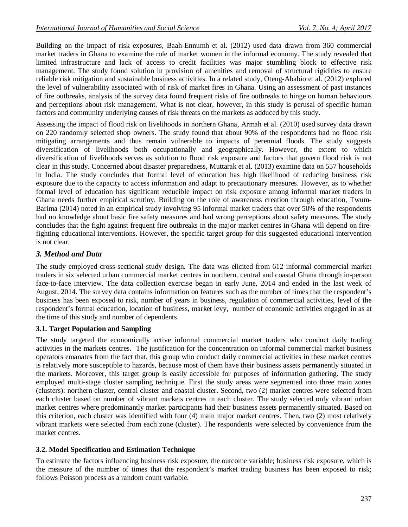Building on the impact of risk exposures, Baah-Ennumh et al. (2012) used data drawn from 360 commercial market traders in Ghana to examine the role of market women in the informal economy. The study revealed that limited infrastructure and lack of access to credit facilities was major stumbling block to effective risk management. The study found solution in provision of amenities and removal of structural rigidities to ensure reliable risk mitigation and sustainable business activities. In a related study, Oteng-Ababio et al. (2012) explored the level of vulnerability associated with of risk of market fires in Ghana. Using an assessment of past instances of fire outbreaks, analysis of the survey data found frequent risks of fire outbreaks to hinge on human behaviours and perceptions about risk management. What is not clear, however, in this study is perusal of specific human factors and community underlying causes of risk threats on the markets as adduced by this study.

Assessing the impact of flood risk on livelihoods in northern Ghana, Armah et al. (2010) used survey data drawn on 220 randomly selected shop owners. The study found that about 90% of the respondents had no flood risk mitigating arrangements and thus remain vulnerable to impacts of perennial floods. The study suggests diversification of livelihoods both occupationally and geographically. However, the extent to which diversification of livelihoods serves as solution to flood risk exposure and factors that govern flood risk is not clear in this study. Concerned about disaster preparedness, Muttarak et al. (2013) examine data on 557 households in India. The study concludes that formal level of education has high likelihood of reducing business risk exposure due to the capacity to access information and adapt to precautionary measures. However, as to whether formal level of education has significant reducible impact on risk exposure among informal market traders in Ghana needs further empirical scrutiny. Building on the role of awareness creation through education, Twum-Barima (2014) noted in an empirical study involving 95 informal market traders that over 50% of the respondents had no knowledge about basic fire safety measures and had wrong perceptions about safety measures. The study concludes that the fight against frequent fire outbreaks in the major market centres in Ghana will depend on firefighting educational interventions. However, the specific target group for this suggested educational intervention is not clear.

## *3. Method and Data*

The study employed cross-sectional study design. The data was elicited from 612 informal commercial market traders in six selected urban commercial market centres in northern, central and coastal Ghana through in-person face-to-face interview. The data collection exercise began in early June, 2014 and ended in the last week of August, 2014. The survey data contains information on features such as the number of times that the respondent's business has been exposed to risk, number of years in business, regulation of commercial activities, level of the respondent's formal education, location of business, market levy, number of economic activities engaged in as at the time of this study and number of dependents.

## **3.1. Target Population and Sampling**

The study targeted the economically active informal commercial market traders who conduct daily trading activities in the markets centres. The justification for the concentration on informal commercial market business operators emanates from the fact that, this group who conduct daily commercial activities in these market centres is relatively more susceptible to hazards, because most of them have their business assets permanently situated in the markets. Moreover, this target group is easily accessible for purposes of information gathering. The study employed multi-stage cluster sampling technique. First the study areas were segmented into three main zones (clusters): northern cluster, central cluster and coastal cluster. Second, two (2) market centres were selected from each cluster based on number of vibrant markets centres in each cluster. The study selected only vibrant urban market centres where predominantly market participants had their business assets permanently situated. Based on this criterion, each cluster was identified with four (4) main major market centres. Then, two (2) most relatively vibrant markets were selected from each zone (cluster). The respondents were selected by convenience from the market centres.

## **3.2. Model Specification and Estimation Technique**

To estimate the factors influencing business risk exposure, the outcome variable; business risk exposure, which is the measure of the number of times that the respondent's market trading business has been exposed to risk; follows Poisson process as a random count variable.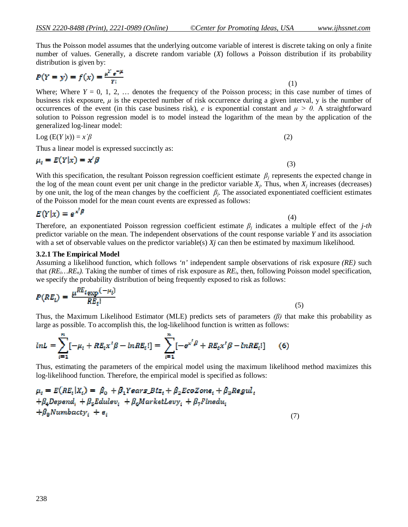Thus the Poisson model assumes that the underlying outcome variable of interest is discrete taking on only a finite number of values. Generally, a discrete random variable (*X*) follows a Poisson distribution if its probability distribution is given by:

$$
P(Y = y) = f(x) = \frac{\mu^Y e^{-\mu}}{Y!}
$$
 (1)

Where; Where  $Y = 0, 1, 2, \ldots$  denotes the frequency of the Poisson process; in this case number of times of business risk exposure, *µ* is the expected number of risk occurrence during a given interval, у is the number of occurrences of the event (in this case business risk), *e* is exponential constant and  $\mu > 0$ . A straightforward solution to Poisson regression model is to model instead the logarithm of the mean by the application of the generalized log-linear model:

$$
Log (E(Y|x)) = x'\beta
$$
 (2)

Thus a linear model is expressed succinctly as:

$$
\mu_t = E(Y|x) = x^t \beta \tag{3}
$$

With this specification, the resultant Poisson regression coefficient estimate  $\beta_i$  represents the expected change in the log of the mean count event per unit change in the predictor variable  $X_j$ . Thus, when  $X_j$  increases (decreases) by one unit, the log of the mean changes by the coefficient *β<sup>j</sup>* . The associated exponentiated coefficient estimates of the Poisson model for the mean count events are expressed as follows:

$$
E(Y|x) = e^{x^{\prime}\beta} \tag{4}
$$

Therefore, an exponentiated Poisson regression coefficient estimate *β<sup>j</sup>* indicates a multiple effect of the *j-th* predictor variable on the mean. The independent observations of the count response variable *Y* and its association with a set of observable values on the predictor variable(s)  $X_j$  can then be estimated by maximum likelihood.

#### **3.2.1 The Empirical Model**

Assuming a likelihood function, which follows *'n'* independent sample observations of risk exposure *(RE)* such that *(REi…REn).* Taking the number of times of risk exposure as *RE<sup>i</sup>* , then, following Poisson model specification, we specify the probability distribution of being frequently exposed to risk as follows:

$$
P(RE_i) = \frac{\mu^{RE_i} \exp^{(-\mu_i)}}{RE_i!}
$$
 (5)

Thus, the Maximum Likelihood Estimator (MLE) predicts sets of parameters *(β)* that make this probability as large as possible. To accomplish this, the log-likelihood function is written as follows:

$$
lnL = \sum_{i=1}^{n} [-\mu_i + RE_i x'\beta - lnRE_i!] = \sum_{i=1}^{n} [-e^{x'\beta} + RE_i x'\beta - lnRE_i!] \qquad (6)
$$

Thus, estimating the parameters of the empirical model using the maximum likelihood method maximizes this log-likelihood function. Therefore, the empirical model is specified as follows:

$$
\mu_i = E(RE_i|X_i) = \beta_0 + \beta_1 Years\_Biz_i + \beta_2EcoZone_i + \beta_3Regul_i
$$
  
+ $\beta_4$ Depend<sub>i</sub> +  $\beta_5$ Edulev<sub>i</sub> +  $\beta_6$ MarketLevy<sub>i</sub> +  $\beta_7$ Finedu<sub>i</sub>  
+ $\beta_8$ Numberzty<sub>i</sub> +  $e_i$  (7)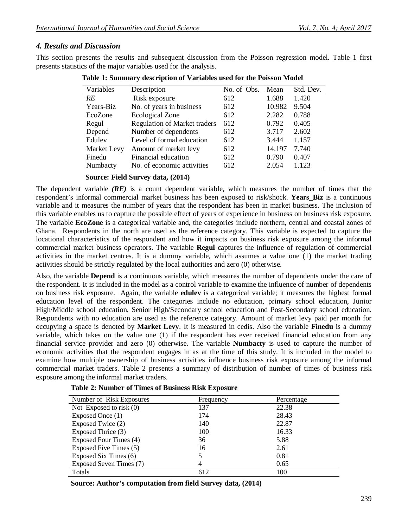## *4. Results and Discussion*

This section presents the results and subsequent discussion from the Poisson regression model. Table 1 first presents statistics of the major variables used for the analysis.

| Variables   | Description                         | No. of Obs. | Mean   | Std. Dev. |
|-------------|-------------------------------------|-------------|--------|-----------|
| <b>RE</b>   | Risk exposure                       | 612         | 1.688  | 1.420     |
| Years-Biz   | No. of years in business            | 612         | 10.982 | 9.504     |
| EcoZone     | <b>Ecological Zone</b>              | 612         | 2.282  | 0.788     |
| Regul       | <b>Regulation of Market traders</b> | 612         | 0.792  | 0.405     |
| Depend      | Number of dependents                | 612         | 3.717  | 2.602     |
| Edulev      | Level of formal education           | 612         | 3.444  | 1.157     |
| Market Levy | Amount of market levy               | 612         | 14.197 | 7.740     |
| Finedu      | Financial education                 | 612         | 0.790  | 0.407     |
| Numbacty    | No. of economic activities          | 612         | 2.054  | 1.123     |

 **Table 1: Summary description of Variables used for the Poisson Model**

#### **Source: Field Survey data, (2014)**

The dependent variable *(RE)* is a count dependent variable, which measures the number of times that the respondent's informal commercial market business has been exposed to risk/shock. **Years\_Biz** is a continuous variable and it measures the number of years that the respondent has been in market business. The inclusion of this variable enables us to capture the possible effect of years of experience in business on business risk exposure. The variable **EcoZone** is a categorical variable and, the categories include northern, central and coastal zones of Ghana. Respondents in the north are used as the reference category. This variable is expected to capture the locational characteristics of the respondent and how it impacts on business risk exposure among the informal commercial market business operators. The variable **Regul** captures the influence of regulation of commercial activities in the market centres. It is a dummy variable, which assumes a value one (1) the market trading activities should be strictly regulated by the local authorities and zero (0) otherwise.

Also, the variable **Depend** is a continuous variable, which measures the number of dependents under the care of the respondent. It is included in the model as a control variable to examine the influence of number of dependents on business risk exposure. Again, the variable **edulev** is a categorical variable; it measures the highest formal education level of the respondent. The categories include no education, primary school education, Junior High/Middle school education, Senior High/Secondary school education and Post-Secondary school education. Respondents with no education are used as the reference category. Amount of market levy paid per month for occupying a space is denoted by **Market Levy**. It is measured in cedis. Also the variable **Finedu** is a dummy variable, which takes on the value one (1) if the respondent has ever received financial education from any financial service provider and zero (0) otherwise. The variable **Numbacty** is used to capture the number of economic activities that the respondent engages in as at the time of this study. It is included in the model to examine how multiple ownership of business activities influence business risk exposure among the informal commercial market traders. Table 2 presents a summary of distribution of number of times of business risk exposure among the informal market traders.

| Number of Risk Exposures  | Frequency | Percentage |
|---------------------------|-----------|------------|
| Not Exposed to risk $(0)$ | 137       | 22.38      |
| Exposed Once (1)          | 174       | 28.43      |
| Exposed Twice (2)         | 140       | 22.87      |
| Exposed Thrice (3)        | 100       | 16.33      |
| Exposed Four Times (4)    | 36        | 5.88       |
| Exposed Five Times (5)    | 16        | 2.61       |
| Exposed Six Times (6)     |           | 0.81       |
| Exposed Seven Times (7)   | 4         | 0.65       |
| Totals                    | 612       | 100        |

|  |  |  |  | <b>Table 2: Number of Times of Business Risk Exposure</b> |
|--|--|--|--|-----------------------------------------------------------|
|--|--|--|--|-----------------------------------------------------------|

 **Source: Author's computation from field Survey data, (2014)**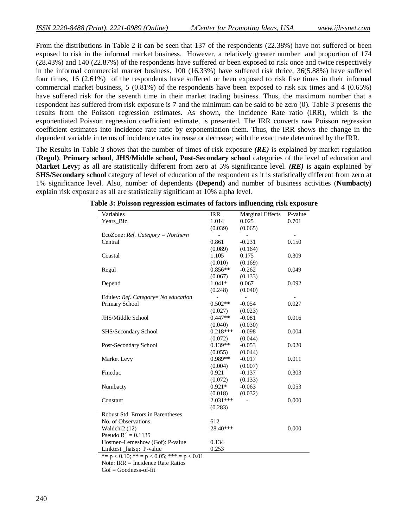From the distributions in Table 2 it can be seen that 137 of the respondents (22.38%) have not suffered or been exposed to risk in the informal market business. However, a relatively greater number and proportion of 174 (28.43%) and 140 (22.87%) of the respondents have suffered or been exposed to risk once and twice respectively in the informal commercial market business. 100 (16.33%) have suffered risk thrice, 36(5.88%) have suffered four times, 16 (2.61%) of the respondents have suffered or been exposed to risk five times in their informal commercial market business, 5 (0.81%) of the respondents have been exposed to risk six times and 4 (0.65%) have suffered risk for the seventh time in their market trading business. Thus, the maximum number that a respondent has suffered from risk exposure is 7 and the minimum can be said to be zero (0). Table 3 presents the results from the Poisson regression estimates. As shown, the Incidence Rate ratio (IRR), which is the exponentiated Poisson regression coefficient estimate, is presented. The IRR converts raw Poisson regression coefficient estimates into incidence rate ratio by exponentiation them. Thus, the IRR shows the change in the dependent variable in terms of incidence rates increase or decrease; with the exact rate determined by the IRR.

The Results in Table 3 shows that the number of times of risk exposure *(RE)* is explained by market regulation (**Regul)**, **Primary school**, **JHS/Middle school, Post-Secondary school** categories of the level of education and **Market Levy;** as all are statistically different from zero at 5% significance level. *(RE)* is again explained by **SHS/Secondary school** category of level of education of the respondent as it is statistically different from zero at 1% significance level. Also, number of dependents **(Depend)** and number of business activities (**Numbacty)** explain risk exposure as all are statistically significant at 10% alpha level.

| Variables                                          | <b>IRR</b> | <b>Marginal Effects</b> | P-value |  |  |
|----------------------------------------------------|------------|-------------------------|---------|--|--|
| Years_Biz                                          | 1.014      | 0.025                   | 0.701   |  |  |
|                                                    | (0.039)    | (0.065)                 |         |  |  |
| EcoZone: $Ref.$ Category = Northern                |            |                         |         |  |  |
| Central                                            | 0.861      | $-0.231$                | 0.150   |  |  |
|                                                    | (0.089)    | (0.164)                 |         |  |  |
| Coastal                                            | 1.105      | 0.175                   | 0.309   |  |  |
|                                                    | (0.010)    | (0.169)                 |         |  |  |
| Regul                                              | $0.856**$  | $-0.262$                | 0.049   |  |  |
|                                                    | (0.067)    | (0.133)                 |         |  |  |
| Depend                                             | $1.041*$   | 0.067                   | 0.092   |  |  |
|                                                    | (0.248)    | (0.040)                 |         |  |  |
| Edulev: Ref. Category= No education                |            |                         |         |  |  |
| Primary School                                     | $0.502**$  | $-0.054$                | 0.027   |  |  |
|                                                    | (0.027)    | (0.023)                 |         |  |  |
| <b>JHS/Middle School</b>                           | $0.447**$  | $-0.081$                | 0.016   |  |  |
|                                                    | (0.040)    | (0.030)                 |         |  |  |
| SHS/Secondary School                               | $0.218***$ | $-0.098$                | 0.004   |  |  |
|                                                    | (0.072)    | (0.044)                 |         |  |  |
| Post-Secondary School                              | $0.139**$  | $-0.053$                | 0.020   |  |  |
|                                                    | (0.055)    | (0.044)                 |         |  |  |
| Market Levy                                        | $0.989**$  | $-0.017$                | 0.011   |  |  |
|                                                    | (0.004)    | (0.007)                 |         |  |  |
| Fineduc                                            | 0.921      | $-0.137$                | 0.303   |  |  |
|                                                    | (0.072)    | (0.133)                 |         |  |  |
| Numbacty                                           | $0.921*$   | $-0.063$                | 0.053   |  |  |
|                                                    | (0.018)    | (0.032)                 |         |  |  |
| Constant                                           | $2.031***$ |                         | 0.000   |  |  |
|                                                    | (0.283)    |                         |         |  |  |
| Robust Std. Errors in Parentheses                  |            |                         |         |  |  |
| No. of Observations                                | 612        |                         |         |  |  |
| Waldchi2 (12)                                      | 28.40***   |                         | 0.000   |  |  |
| Pseudo $R^2 = 0.1135$                              |            |                         |         |  |  |
| Hosmer-Lemeshow (Gof): P-value                     | 0.134      |                         |         |  |  |
| Linktest hatsq: P-value                            | 0.253      |                         |         |  |  |
| *= $p < 0.10$ ; ** = $p < 0.05$ ; *** = $p < 0.01$ |            |                         |         |  |  |

**Table 3: Poisson regression estimates of factors influencing risk exposure**

Note: IRR = Incidence Rate Ratios

 $Gof = Goodness-of-fit$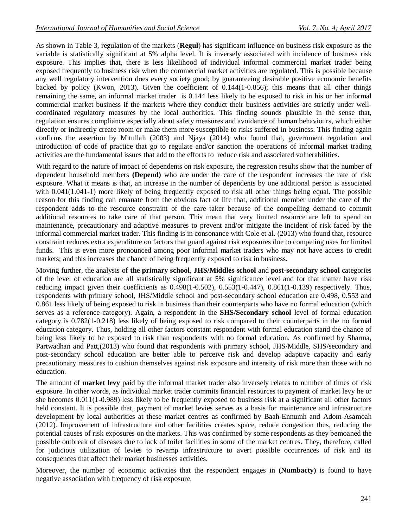As shown in Table 3, regulation of the markets (**Regul**) has significant influence on business risk exposure as the variable is statistically significant at 5% alpha level. It is inversely associated with incidence of business risk exposure. This implies that, there is less likelihood of individual informal commercial market trader being exposed frequently to business risk when the commercial market activities are regulated. This is possible because any well regulatory intervention does every society good; by guaranteeing desirable positive economic benefits backed by policy (Kwon, 2013). Given the coefficient of 0.144(1-0.856); this means that all other things remaining the same, an informal market trader is 0.144 less likely to be exposed to risk in his or her informal commercial market business if the markets where they conduct their business activities are strictly under wellcoordinated regulatory measures by the local authorities. This finding sounds plausible in the sense that, regulation ensures compliance especially about safety measures and avoidance of human behaviours, which either directly or indirectly create room or make them more susceptible to risks suffered in business. This finding again confirms the assertion by Mitullah (2003) and Njaya (2014) who found that, government regulation and introduction of code of practice that go to regulate and/or sanction the operations of informal market trading activities are the fundamental issues that add to the efforts to reduce risk and associated vulnerabilities.

With regard to the nature of impact of dependents on risk exposure, the regression results show that the number of dependent household members **(Depend)** who are under the care of the respondent increases the rate of risk exposure. What it means is that, an increase in the number of dependents by one additional person is associated with  $0.041(1.041-1)$  more likely of being frequently exposed to risk all other things being equal. The possible reason for this finding can emanate from the obvious fact of life that, additional member under the care of the respondent adds to the resource constraint of the care taker because of the compelling demand to commit additional resources to take care of that person. This mean that very limited resource are left to spend on maintenance, precautionary and adaptive measures to prevent and/or mitigate the incident of risk faced by the informal commercial market trader. This finding is in consonance with Cole et al. (2013) who found that, resource constraint reduces extra expenditure on factors that guard against risk exposures due to competing uses for limited funds. This is even more pronounced among poor informal market traders who may not have access to credit markets; and this increases the chance of being frequently exposed to risk in business.

Moving further, the analysis of **the primary school**, **JHS/Middles school** and **post-secondary school** categories of the level of education are all statistically significant at 5% significance level and for that matter have risk reducing impact given their coefficients as 0.498(1-0.502), 0.553(1-0.447), 0.861(1-0.139) respectively. Thus, respondents with primary school, JHS/Middle school and post-secondary school education are 0.498, 0.553 and 0.861 less likely of being exposed to risk in business than their counterparts who have no formal education (which serves as a reference category). Again, a respondent in the **SHS/Secondary school** level of formal education category is 0.782(1-0.218) less likely of being exposed to risk compared to their counterparts in the no formal education category. Thus, holding all other factors constant respondent with formal education stand the chance of being less likely to be exposed to risk than respondents with no formal education. As confirmed by Sharma, Partwadhan and Patt,(2013) who found that respondents with primary school, JHS/Middle, SHS/secondary and post-secondary school education are better able to perceive risk and develop adaptive capacity and early precautionary measures to cushion themselves against risk exposure and intensity of risk more than those with no education.

The amount of **market levy** paid by the informal market trader also inversely relates to number of times of risk exposure. In other words, as individual market trader commits financial resources to payment of market levy he or she becomes 0.011(1-0.989) less likely to be frequently exposed to business risk at a significant all other factors held constant. It is possible that, payment of market levies serves as a basis for maintenance and infrastructure development by local authorities at these market centres as confirmed by Baah-Ennumh and Adom-Asamoah (2012). Improvement of infrastructure and other facilities creates space, reduce congestion thus, reducing the potential causes of risk exposures on the markets. This was confirmed by some respondents as they bemoaned the possible outbreak of diseases due to lack of toilet facilities in some of the market centres. They, therefore, called for judicious utilization of levies to revamp infrastructure to avert possible occurrences of risk and its consequences that affect their market businesses activities.

Moreover, the number of economic activities that the respondent engages in **(Numbacty)** is found to have negative association with frequency of risk exposure.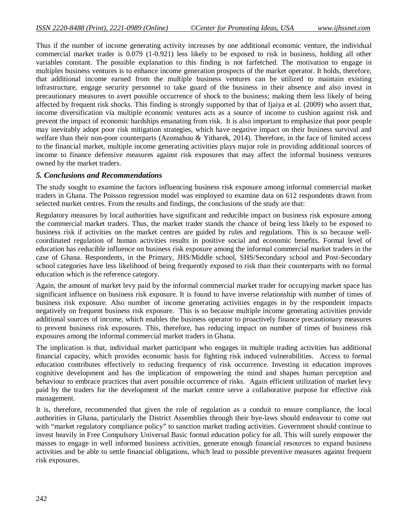Thus if the number of income generating activity increases by one additional economic venture, the individual commercial market trader is 0.079 (1-0.921) less likely to be exposed to risk in business, holding all other variables constant. The possible explanation to this finding is not farfetched. The motivation to engage in multiples business ventures is to enhance income generation prospects of the market operator. It holds, therefore, that additional income earned from the multiple business ventures can be utilized to maintain existing infrastructure, engage security personnel to take guard of the business in their absence and also invest in precautionary measures to avert possible occurrence of shock to the business; making them less likely of being affected by frequent risk shocks. This finding is strongly supported by that of Ijaiya et al. (2009) who assert that, income diversification via multiple economic ventures acts as a source of income to cushion against risk and prevent the impact of economic hardships emanating from risk. It is also important to emphasize that poor people may inevitably adopt poor risk mitigation strategies, which have negative impact on their business survival and welfare than their non-poor counterparts (Azomahou & Yitbarek, 2014). Therefore, in the face of limited access to the financial market, multiple income generating activities plays major role in providing additional sources of income to finance defensive measures against risk exposures that may affect the informal business ventures owned by the market traders.

#### *5. Conclusions and Recommendations*

The study sought to examine the factors influencing business risk exposure among informal commercial market traders in Ghana. The Poisson regression model was employed to examine data on 612 respondents drawn from selected market centres. From the results and findings, the conclusions of the study are that:

Regulatory measures by local authorities have significant and reducible impact on business risk exposure among the commercial market traders. Thus, the market trader stands the chance of being less likely to be exposed to business risk if activities on the market centres are guided by rules and regulations. This is so because wellcoordinated regulation of human activities results in positive social and economic benefits. Formal level of education has reducible influence on business risk exposure among the informal commercial market traders in the case of Ghana. Respondents, in the Primary, JHS/Middle school, SHS/Secondary school and Post-Secondary school categories have less likelihood of being frequently exposed to risk than their counterparts with no formal education which is the reference category.

Again, the amount of market levy paid by the informal commercial market trader for occupying market space has significant influence on business risk exposure. It is found to have inverse relationship with number of times of business risk exposure. Also number of income generating activities engages in by the respondent impacts negatively on frequent business risk exposure. This is so because multiple income generating activities provide additional sources of income, which enables the business operator to proactively finance precautionary measures to prevent business risk exposures. This, therefore, has reducing impact on number of times of business risk exposures among the informal commercial market traders in Ghana.

The implication is that, individual market participant who engages in multiple trading activities has additional financial capacity, which provides economic basis for fighting risk induced vulnerabilities. Access to formal education contributes effectively to reducing frequency of risk occurrence. Investing in education improves cognitive development and has the implication of empowering the mind and shapes human perception and behaviour to embrace practices that avert possible occurrence of risks. Again efficient utilization of market levy paid by the traders for the development of the market centre serve a collaborative purpose for effective risk management.

It is, therefore, recommended that given the role of regulation as a conduit to ensure compliance, the local authorities in Ghana, particularly the District Assemblies through their bye-laws should endeavour to come out with "market regulatory compliance policy" to sanction market trading activities. Government should continue to invest heavily in Free Compulsory Universal Basic formal education policy for all. This will surely empower the masses to engage in well informed business activities, generate enough financial resources to expand business activities and be able to settle financial obligations, which lead to possible preventive measures against frequent risk exposures.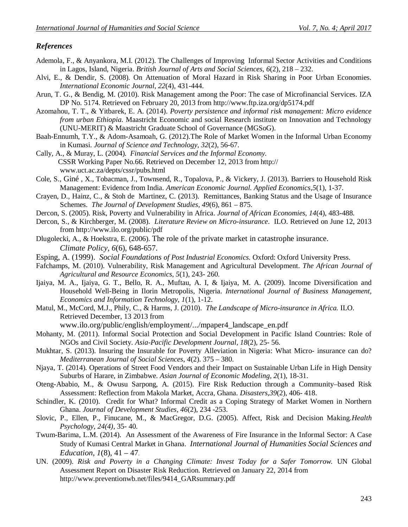## *References*

- Ademola, F., & Anyankora, M.I. (2012). The Challenges of Improving Informal Sector Activities and Conditions in Lagos, Island, Nigeria. *British Journal of Arts and Social Sciences, 6*(2), 218 – 232.
- Alvi, E., & Dendir, S. (2008). On Attenuation of Moral Hazard in Risk Sharing in Poor Urban Economies. *International Economic Journal*, *22*(4), 431-444.
- Arun, T. G., & Bendig, M. (2010). Risk Management among the Poor: The case of Microfinancial Services. IZA DP No. 5174. Retrieved on February 20, 2013 from http://www.ftp.iza.org/dp5174.pdf
- Azomahou, T. T., & Yitbarek, E. A. (2014). *Poverty persistence and informal risk management: Micro evidence from urban Ethiopia*. Maastricht Economic and social Research institute on Innovation and Technology (UNU-MERIT) & Maastricht Graduate School of Governance (MGSoG).
- Baah-Ennumh, T.Y., & Adom-Asamoah, G. (2012).The Role of Market Women in the Informal Urban Economy in Kumasi. *Journal of Science and Technology, 32*(2), 56-67.
- Cally, A., & Muray, L. (2004). *Financial Services and the Informal Economy.* CSSR Working Paper No.66. Retrieved on December 12, 2013 from http:// www.uct.ac.za/depts/cssr/pubs.html
- Cole, S., Giné , X., Tobacman, J., Townsend, R., Topalova, P., & Vickery, J. (2013). Barriers to Household Risk Management: Evidence from India. *American Economic Journal. Applied Economics,5*(1), 1-37.
- Crayen, D., Hainz, C., & Stoh de Martinez, C. (2013). Remittances, Banking Status and the Usage of Insurance Schemes. *The Journal of Development Studies, 49*(6), 861 – 875.
- Dercon, S. (2005). Risk, Poverty and Vulnerability in Africa. *Journal of African Economies, 14*(4), 483-488.
- Dercon, S., & Kirchberger, M. (2008). *Literature Review on Micro-insurance*. ILO. Retrieved on June 12, 2013 from http://www.ilo.org/public/pdf
- Dlugolecki, A., & Hoekstra, E. (2006). The role of the private market in catastrophe insurance. *Climate Policy*, *6*(6), 648-657.
- Esping, A. (1999). *Social Foundations of Post Industrial Economics.* Oxford: Oxford University Press.
- Fafchamps, M. (2010). Vulnerability, Risk Management and Agricultural Development. *The African Journal of Agricultural and Resource Economics, 5*(1), 243- 260.
- Ijaiya, M. A., Ijaiya, G. T., Bello, R. A., Muftau, A. I, & Ijaiya, M. A. (2009). Income Diversification and Household Well-Being in Ilorin Metropolis, Nigeria. *International Journal of Business Management, Economics and Information Technology, 1*(1), 1-12.
- Matul, M., McCord, M.J., Phily, C., & Harms, J. (2010). *The Landscape of Micro-insurance in Africa.* ILO. Retrieved December, 13 2013 from

www.ilo.org/public/english/employment/.../mpaper4\_landscape\_en.pdf

- Mohanty, M. (2011). Informal Social Protection and Social Development in Pacific Island Countries: Role of NGOs and Civil Society. *Asia-Pacific Development Journal, 18*(2), 25- 56.
- Mukhtar, S. (2013). Insuring the Insurable for Poverty Alleviation in Nigeria: What Micro- insurance can do? *Mediterranean Journal of Social Sciences, 4*(2). 375 – 380.
- Njaya, T. (2014). Operations of Street Food Vendors and their Impact on Sustainable Urban Life in High Density Suburbs of Harare, in Zimbabwe. *Asian Journal of Economic Modeling, 2*(1), 18-31.
- Oteng-Ababio, M., & Owusu Sarpong, A. (2015). Fire Risk Reduction through a Community–based Risk Assessment: Reflection from Makola Market, Accra, Ghana. *Disasters,39*(2), 406- 418.
- Schindler, K. (2010). Credit for What? Informal Credit as a Coping Strategy of Market Women in Northern Ghana. *Journal of Development Studies, 46*(2), 234 -253.
- Slovic, P., Ellen, P., Finucane, M., & MacGregor, D.G. (2005). Affect, Risk and Decision Making.*Health Psychology, 24(4)*, 35- 40.
- Twum-Barima, L.M. (2014). An Assessment of the Awareness of Fire Insurance in the Informal Sector: A Case Study of Kumasi Central Market in Ghana. *International Journal of Humanities Social Sciences and Education, 1*(8), 41 – 47.
- UN. (2009). *Risk and Poverty in a Changing Climate: Invest Today for a Safer Tomorrow.* UN Global Assessment Report on Disaster Risk Reduction. Retrieved on January 22, 2014 from http://www.preventionwb.net/files/9414\_GARsummary.pdf